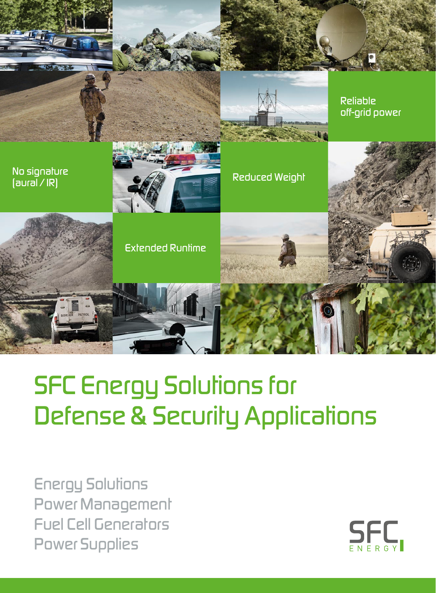

# *SFC Energy Solutions for Defense & Security Applications*

*Energy Solutions Power Management Fuel Cell Generators Power Supplies*

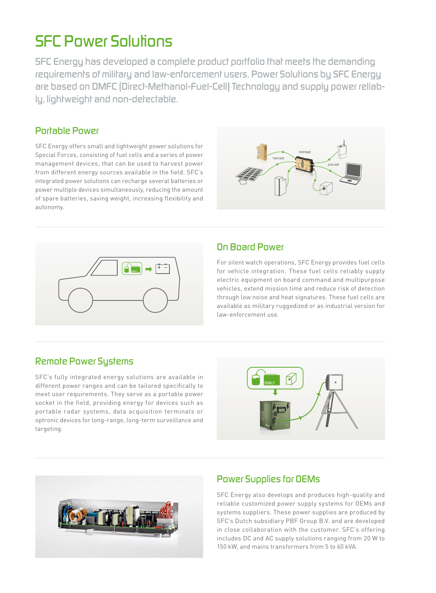### *SFC Power Solutions*

*SFC Energy has developed a complete product portfolio that meets the demanding requirements of military and law-enforcement users. Power Solutions by SFC Energy are based on DMFC (Direct-Methanol-Fuel-Cell) Technology and supply power reliably, lightweight and non-detectable.*

### *Portable Power*

SFC Energy offers small and lightweight power solutions for Special Forces, consisting of fuel cells and a series of power management devices, that can be used to harvest power from different energy sources available in the field. SFC's integrated power solutions can recharge several batteries or power multiple devices simultaneously, reducing the amount of spare batteries, saving weight, increasing flexibility and autonomy.





### *On Board Power*

For silent watch operations, SFC Energy provides fuel cells for vehicle integration. These fuel cells reliably supply electric equipment on board command and multipurpose vehicles, extend mission time and reduce risk of detection through low noise and heat signatures. These fuel cells are available as military ruggedized or as industrial version for law-enforcement use.

### *Remote Power Systems*

SFC's fully integrated energy solutions are available in different power ranges and can be tailored specifically to meet user requirements. They serve as a portable power socket in the field, providing energy for devices such as portable radar systems, data acquisition terminals or optronic devices for long-range, long-term surveillance and targeting.





### *Power Supplies for OEMs*

SFC Energy also develops and produces high-quality and reliable customized power supply systems for OEMs and systems suppliers. These power supplies are produced by SFC's Dutch subsidiary PBF Group B.V. and are developed in close collaboration with the customer. SFC's offering includes DC and AC supply solutions ranging from 20 W to 150 kW, and mains transformers from 5 to 60 kVA.